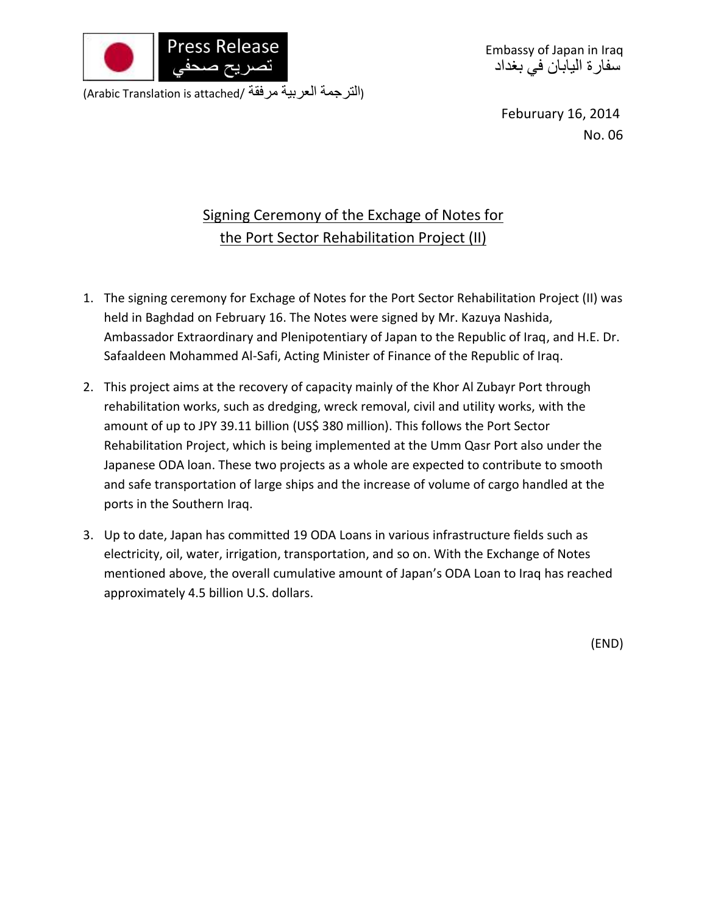

Embassy of Japan in Iraq سفارة اليابان في بغداد

(Arabic Translation is attached/ مرفقة العربية الترجمة(

Feburuary 16, 2014 No. 06

## Signing Ceremony of the Exchage of Notes for the Port Sector Rehabilitation Project (II)

- 1. The signing ceremony for Exchage of Notes for the Port Sector Rehabilitation Project (II) was held in Baghdad on February 16. The Notes were signed by Mr. Kazuya Nashida, Ambassador Extraordinary and Plenipotentiary of Japan to the Republic of Iraq, and H.E. Dr. Safaaldeen Mohammed Al-Safi, Acting Minister of Finance of the Republic of Iraq.
- 2. This project aims at the recovery of capacity mainly of the Khor Al Zubayr Port through rehabilitation works, such as dredging, wreck removal, civil and utility works, with the amount of up to JPY 39.11 billion (US\$ 380 million). This follows the Port Sector Rehabilitation Project, which is being implemented at the Umm Qasr Port also under the Japanese ODA loan. These two projects as a whole are expected to contribute to smooth and safe transportation of large ships and the increase of volume of cargo handled at the ports in the Southern Iraq.
- 3. Up to date, Japan has committed 19 ODA Loans in various infrastructure fields such as electricity, oil, water, irrigation, transportation, and so on. With the Exchange of Notes mentioned above, the overall cumulative amount of Japan's ODA Loan to Iraq has reached approximately 4.5 billion U.S. dollars.

(END)